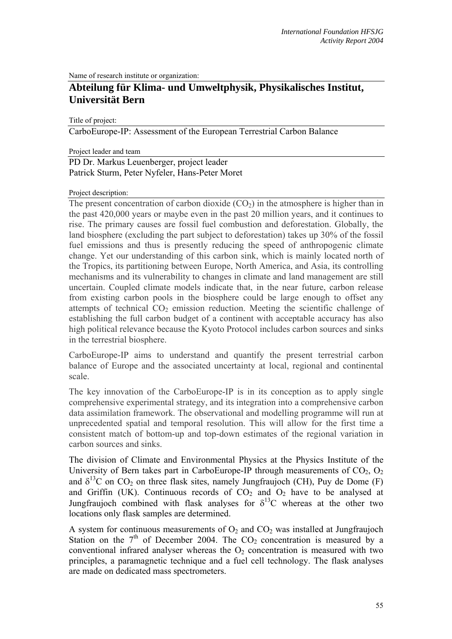Name of research institute or organization:

## **Abteilung für Klima- und Umweltphysik, Physikalisches Institut, Universität Bern**

Title of project:

CarboEurope-IP: Assessment of the European Terrestrial Carbon Balance

Project leader and team

## PD Dr. Markus Leuenberger, project leader Patrick Sturm, Peter Nyfeler, Hans-Peter Moret

## Project description:

The present concentration of carbon dioxide  $(CO<sub>2</sub>)$  in the atmosphere is higher than in the past 420,000 years or maybe even in the past 20 million years, and it continues to rise. The primary causes are fossil fuel combustion and deforestation. Globally, the land biosphere (excluding the part subject to deforestation) takes up 30% of the fossil fuel emissions and thus is presently reducing the speed of anthropogenic climate change. Yet our understanding of this carbon sink, which is mainly located north of the Tropics, its partitioning between Europe, North America, and Asia, its controlling mechanisms and its vulnerability to changes in climate and land management are still uncertain. Coupled climate models indicate that, in the near future, carbon release from existing carbon pools in the biosphere could be large enough to offset any attempts of technical  $CO<sub>2</sub>$  emission reduction. Meeting the scientific challenge of establishing the full carbon budget of a continent with acceptable accuracy has also high political relevance because the Kyoto Protocol includes carbon sources and sinks in the terrestrial biosphere.

CarboEurope-IP aims to understand and quantify the present terrestrial carbon balance of Europe and the associated uncertainty at local, regional and continental scale.

The key innovation of the CarboEurope-IP is in its conception as to apply single comprehensive experimental strategy, and its integration into a comprehensive carbon data assimilation framework. The observational and modelling programme will run at unprecedented spatial and temporal resolution. This will allow for the first time a consistent match of bottom-up and top-down estimates of the regional variation in carbon sources and sinks.

The division of Climate and Environmental Physics at the Physics Institute of the University of Bern takes part in CarboEurope-IP through measurements of  $CO<sub>2</sub>$ ,  $O<sub>2</sub>$ and  $\delta^{13}$ C on CO<sub>2</sub> on three flask sites, namely Jungfraujoch (CH), Puy de Dome (F) and Griffin (UK). Continuous records of  $CO<sub>2</sub>$  and  $O<sub>2</sub>$  have to be analysed at Jungfraujoch combined with flask analyses for  $\delta^{13}$ C whereas at the other two locations only flask samples are determined.

A system for continuous measurements of  $O_2$  and  $CO_2$  was installed at Jungfraujoch Station on the  $7<sup>th</sup>$  of December 2004. The  $CO<sub>2</sub>$  concentration is measured by a conventional infrared analyser whereas the  $O<sub>2</sub>$  concentration is measured with two principles, a paramagnetic technique and a fuel cell technology. The flask analyses are made on dedicated mass spectrometers.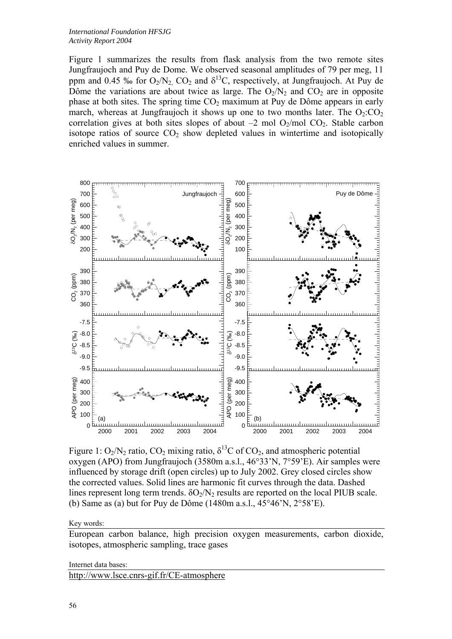Figure 1 summarizes the results from flask analysis from the two remote sites Jungfraujoch and Puy de Dome. We observed seasonal amplitudes of 79 per meg, 11 ppm and 0.45 ‰ for  $O_2/N_2$ ,  $CO_2$  and  $\delta^{13}C$ , respectively, at Jungfraujoch. At Puy de Dôme the variations are about twice as large. The  $O_2/N_2$  and  $CO_2$  are in opposite phase at both sites. The spring time  $CO<sub>2</sub>$  maximum at Puy de Dôme appears in early march, whereas at Jungfraujoch it shows up one to two months later. The  $O_2$ : $CO_2$ correlation gives at both sites slopes of about  $-2$  mol  $O_2$ /mol  $CO_2$ . Stable carbon isotope ratios of source  $CO<sub>2</sub>$  show depleted values in wintertime and isotopically enriched values in summer.



Figure 1:  $O_2/N_2$  ratio,  $CO_2$  mixing ratio,  $\delta^{13}C$  of  $CO_2$ , and atmospheric potential oxygen (APO) from Jungfraujoch (3580m a.s.l., 46°33'N, 7°59'E). Air samples were influenced by storage drift (open circles) up to July 2002. Grey closed circles show the corrected values. Solid lines are harmonic fit curves through the data. Dashed lines represent long term trends.  $\delta O_2/N_2$  results are reported on the local PIUB scale. (b) Same as (a) but for Puy de Dôme  $(1480m a.s.1, 45^{\circ}46^{\circ}N, 2^{\circ}58^{\circ}E)$ .

Key words:

European carbon balance, high precision oxygen measurements, carbon dioxide, isotopes, atmospheric sampling, trace gases

```
Internet data bases:
```
<http://www.lsce.cnrs-gif.fr/CE-atmosphere>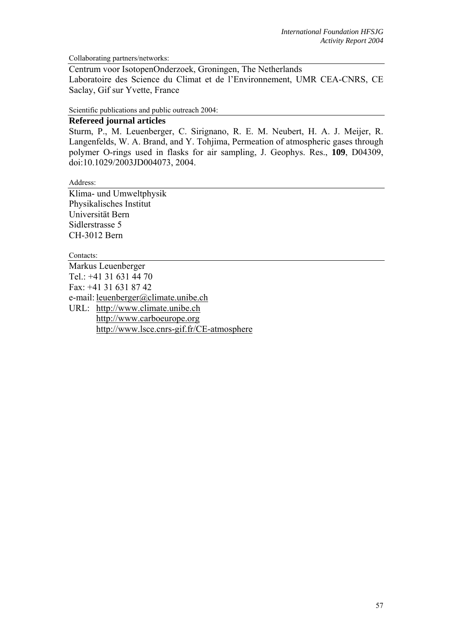Collaborating partners/networks:

Centrum voor IsotopenOnderzoek, Groningen, The Netherlands Laboratoire des Science du Climat et de l'Environnement, UMR CEA-CNRS, CE Saclay, Gif sur Yvette, France

Scientific publications and public outreach 2004:

## **Refereed journal articles**

Sturm, P., M. Leuenberger, C. Sirignano, R. E. M. Neubert, H. A. J. Meijer, R. Langenfelds, W. A. Brand, and Y. Tohjima, Permeation of atmospheric gases through polymer O-rings used in flasks for air sampling, J. Geophys. Res., **109**, D04309, doi:10.1029/2003JD004073, 2004.

Address:

Klima- und Umweltphysik Physikalisches Institut Universität Bern Sidlerstrasse 5 CH-3012 Bern

Contacts:

Markus Leuenberger Tel.: +41 31 631 44 70 Fax: +41 31 631 87 42 e-mail: leuenberger@climate.unibe.ch URL: [http://www.climate.unibe.ch](http://www.climate.unibe.ch/) [http://www.carboeurope.org](http://www.carboeurope.org/) <http://www.lsce.cnrs-gif.fr/CE-atmosphere>